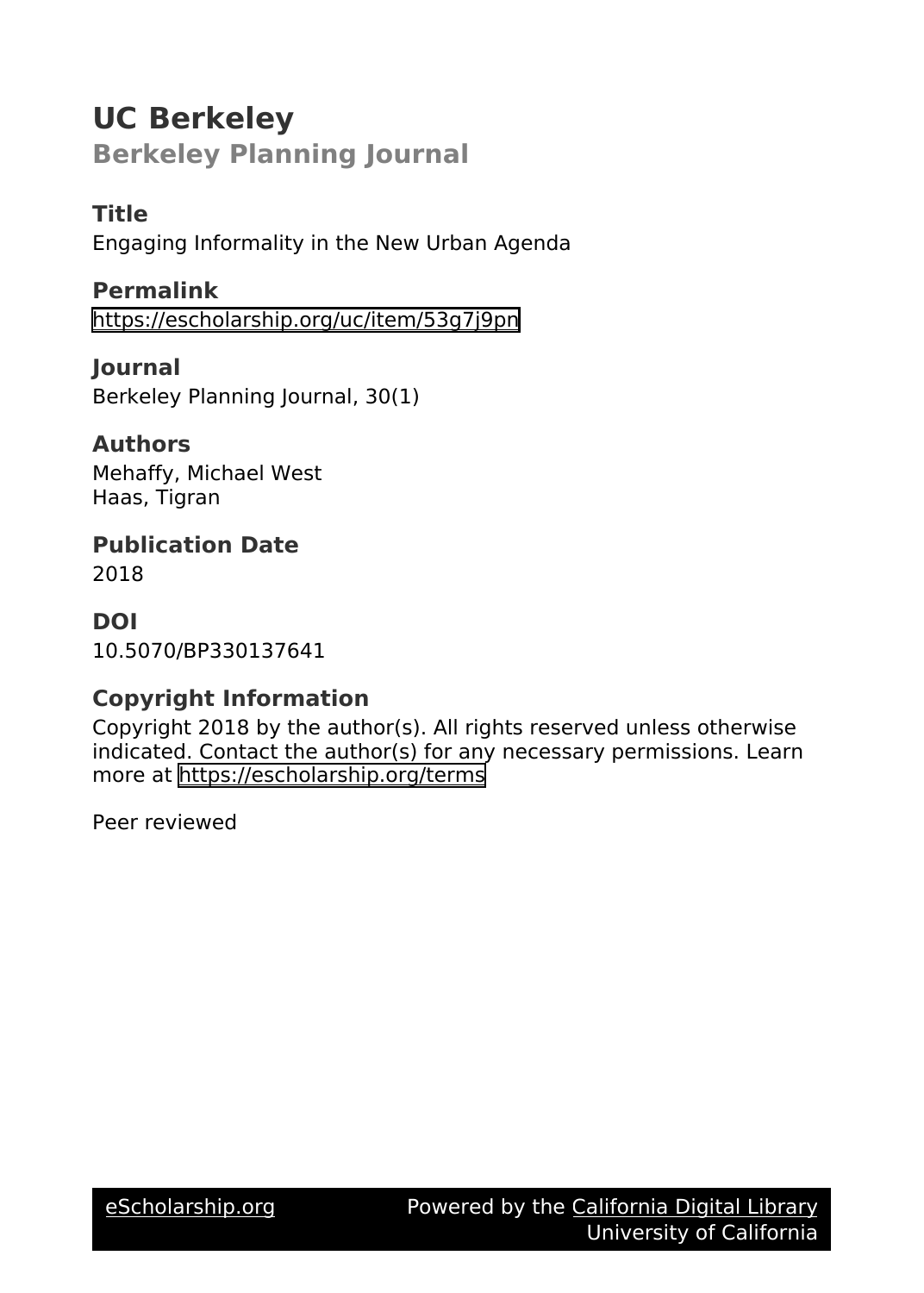# **UC Berkeley**

**Berkeley Planning Journal**

# **Title**

Engaging Informality in the New Urban Agenda

**Permalink** <https://escholarship.org/uc/item/53g7j9pn>

**Journal** Berkeley Planning Journal, 30(1)

**Authors** Mehaffy, Michael West Haas, Tigran

**Publication Date** 2018

**DOI** 10.5070/BP330137641

# **Copyright Information**

Copyright 2018 by the author(s). All rights reserved unless otherwise indicated. Contact the author(s) for any necessary permissions. Learn more at <https://escholarship.org/terms>

Peer reviewed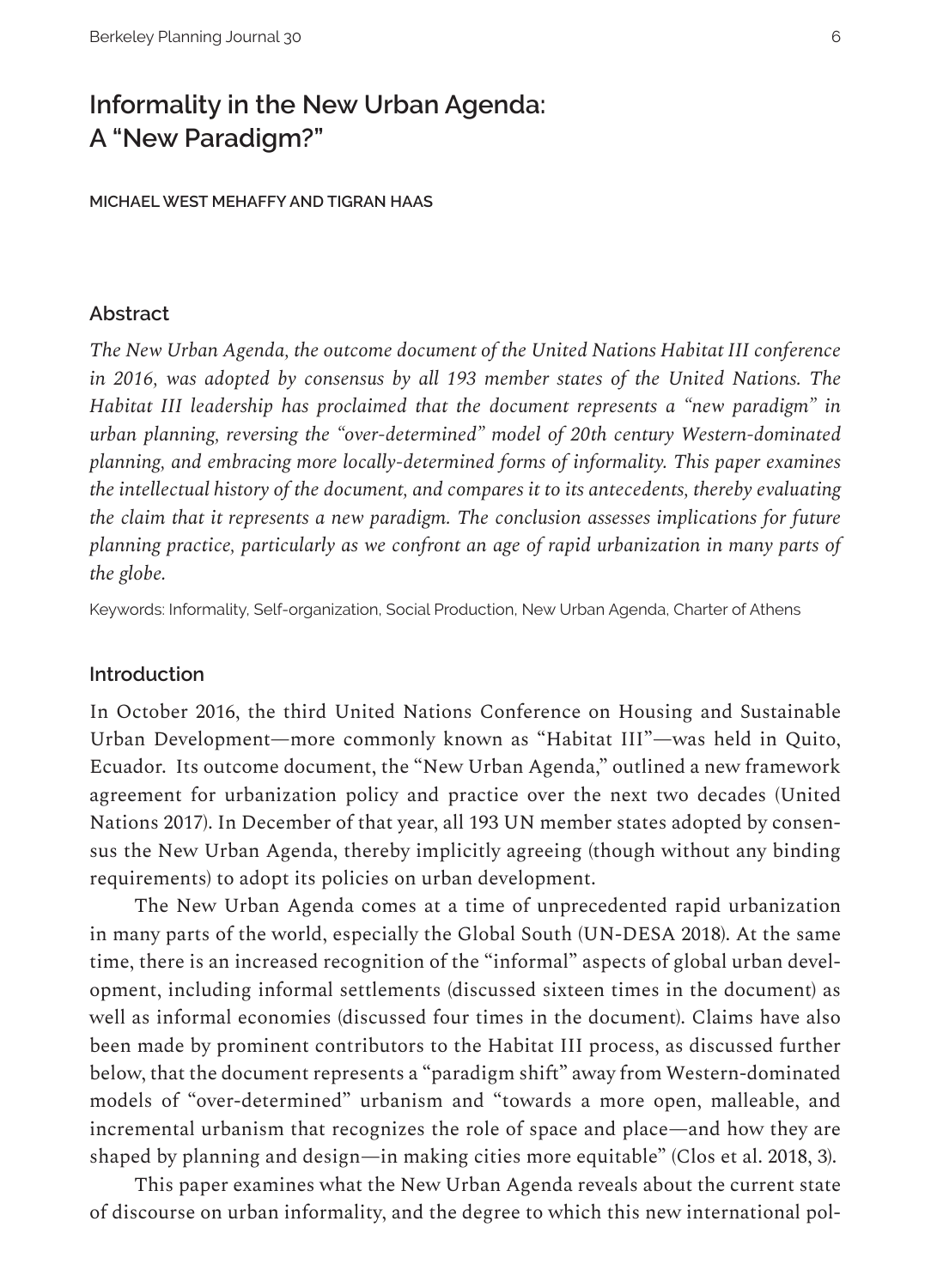# **Informality in the New Urban Agenda: A "New Paradigm?"**

**MICHAEL WEST MEHAFFY AND TIGRAN HAAS**

# **Abstract**

*The New Urban Agenda, the outcome document of the United Nations Habitat III conference*  in 2016, was adopted by consensus by all 193 member states of the United Nations. The *Habitat III leadership has proclaimed that the document represents a "new paradigm" in urban planning, reversing the "over-determined" model of 20th century Western-dominated planning, and embracing more locally-determined forms of informality. This paper examines the intellectual history of the document, and compares it to its antecedents, thereby evaluating the claim that it represents a new paradigm. The conclusion assesses implications for future planning practice, particularly as we confront an age of rapid urbanization in many parts of the globe.*

Keywords: Informality, Self-organization, Social Production, New Urban Agenda, Charter of Athens

### **Introduction**

In October 2016, the third United Nations Conference on Housing and Sustainable Urban Development—more commonly known as "Habitat III"—was held in Quito, Ecuador. Its outcome document, the "New Urban Agenda," outlined a new framework agreement for urbanization policy and practice over the next two decades (United Nations 2017). In December of that year, all 193 UN member states adopted by consensus the New Urban Agenda, thereby implicitly agreeing (though without any binding requirements) to adopt its policies on urban development.

The New Urban Agenda comes at a time of unprecedented rapid urbanization in many parts of the world, especially the Global South (UN-DESA 2018). At the same time, there is an increased recognition of the "informal" aspects of global urban development, including informal settlements (discussed sixteen times in the document) as well as informal economies (discussed four times in the document). Claims have also been made by prominent contributors to the Habitat III process, as discussed further below, that the document represents a "paradigm shift" away from Western-dominated models of "over-determined" urbanism and "towards a more open, malleable, and incremental urbanism that recognizes the role of space and place—and how they are shaped by planning and design—in making cities more equitable" (Clos et al. 2018, 3).

This paper examines what the New Urban Agenda reveals about the current state of discourse on urban informality, and the degree to which this new international pol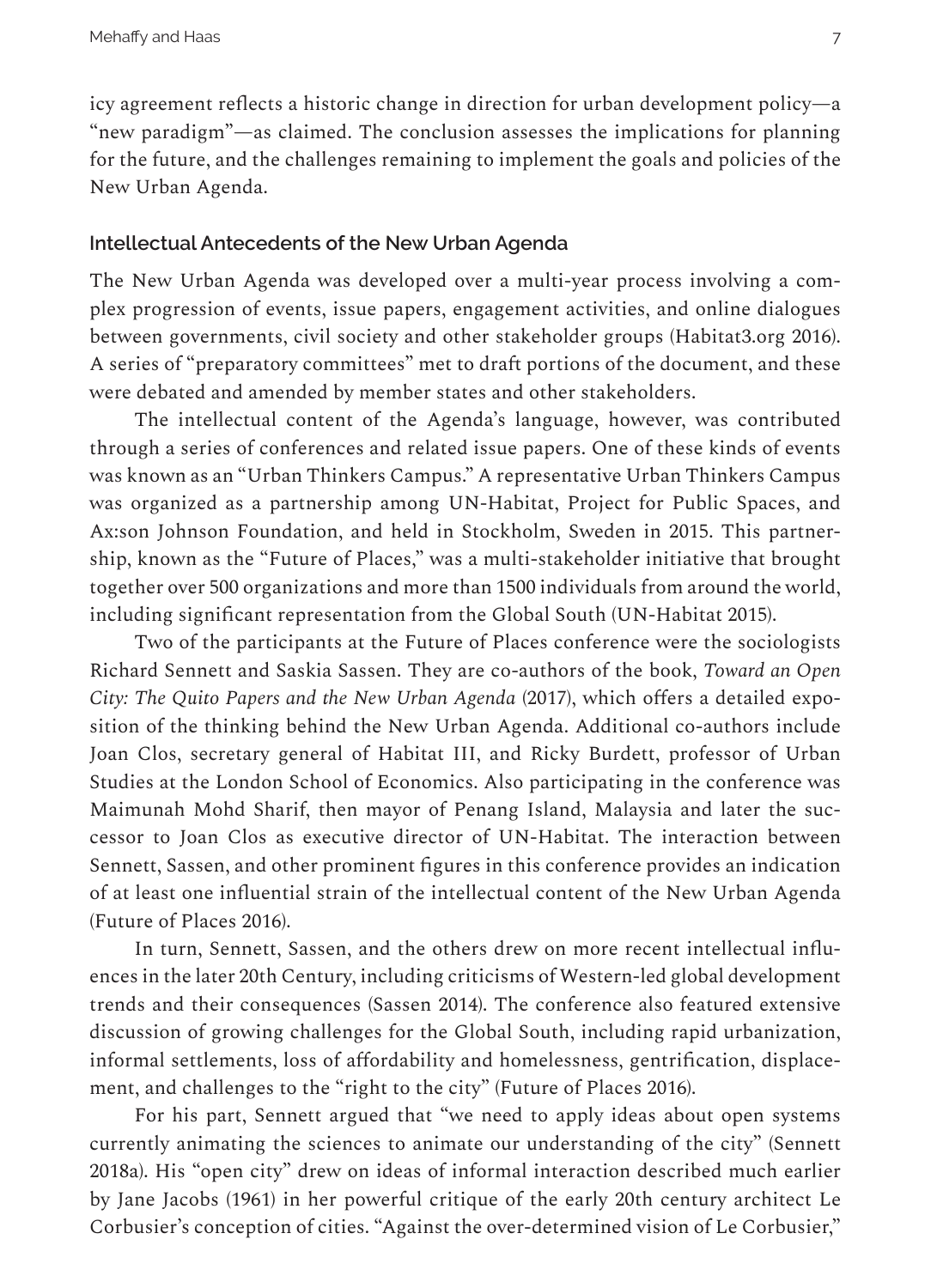icy agreement reflects a historic change in direction for urban development policy—a "new paradigm"—as claimed. The conclusion assesses the implications for planning for the future, and the challenges remaining to implement the goals and policies of the New Urban Agenda.

### **Intellectual Antecedents of the New Urban Agenda**

The New Urban Agenda was developed over a multi-year process involving a complex progression of events, issue papers, engagement activities, and online dialogues between governments, civil society and other stakeholder groups (Habitat3.org 2016). A series of "preparatory committees" met to draft portions of the document, and these were debated and amended by member states and other stakeholders.

The intellectual content of the Agenda's language, however, was contributed through a series of conferences and related issue papers. One of these kinds of events was known as an "Urban Thinkers Campus." A representative Urban Thinkers Campus was organized as a partnership among UN-Habitat, Project for Public Spaces, and Ax:son Johnson Foundation, and held in Stockholm, Sweden in 2015. This partnership, known as the "Future of Places," was a multi-stakeholder initiative that brought together over 500 organizations and more than 1500 individuals from around the world, including significant representation from the Global South (UN-Habitat 2015).

Two of the participants at the Future of Places conference were the sociologists Richard Sennett and Saskia Sassen. They are co-authors of the book, *Toward an Open City: The Quito Papers and the New Urban Agenda* (2017), which offers a detailed exposition of the thinking behind the New Urban Agenda. Additional co-authors include Joan Clos, secretary general of Habitat III, and Ricky Burdett, professor of Urban Studies at the London School of Economics. Also participating in the conference was Maimunah Mohd Sharif, then mayor of Penang Island, Malaysia and later the successor to Joan Clos as executive director of UN-Habitat. The interaction between Sennett, Sassen, and other prominent figures in this conference provides an indication of at least one influential strain of the intellectual content of the New Urban Agenda (Future of Places 2016).

In turn, Sennett, Sassen, and the others drew on more recent intellectual influences in the later 20th Century, including criticisms of Western-led global development trends and their consequences (Sassen 2014). The conference also featured extensive discussion of growing challenges for the Global South, including rapid urbanization, informal settlements, loss of affordability and homelessness, gentrification, displacement, and challenges to the "right to the city" (Future of Places 2016).

For his part, Sennett argued that "we need to apply ideas about open systems currently animating the sciences to animate our understanding of the city" (Sennett 2018a). His "open city" drew on ideas of informal interaction described much earlier by Jane Jacobs (1961) in her powerful critique of the early 20th century architect Le Corbusier's conception of cities. "Against the over-determined vision of Le Corbusier,"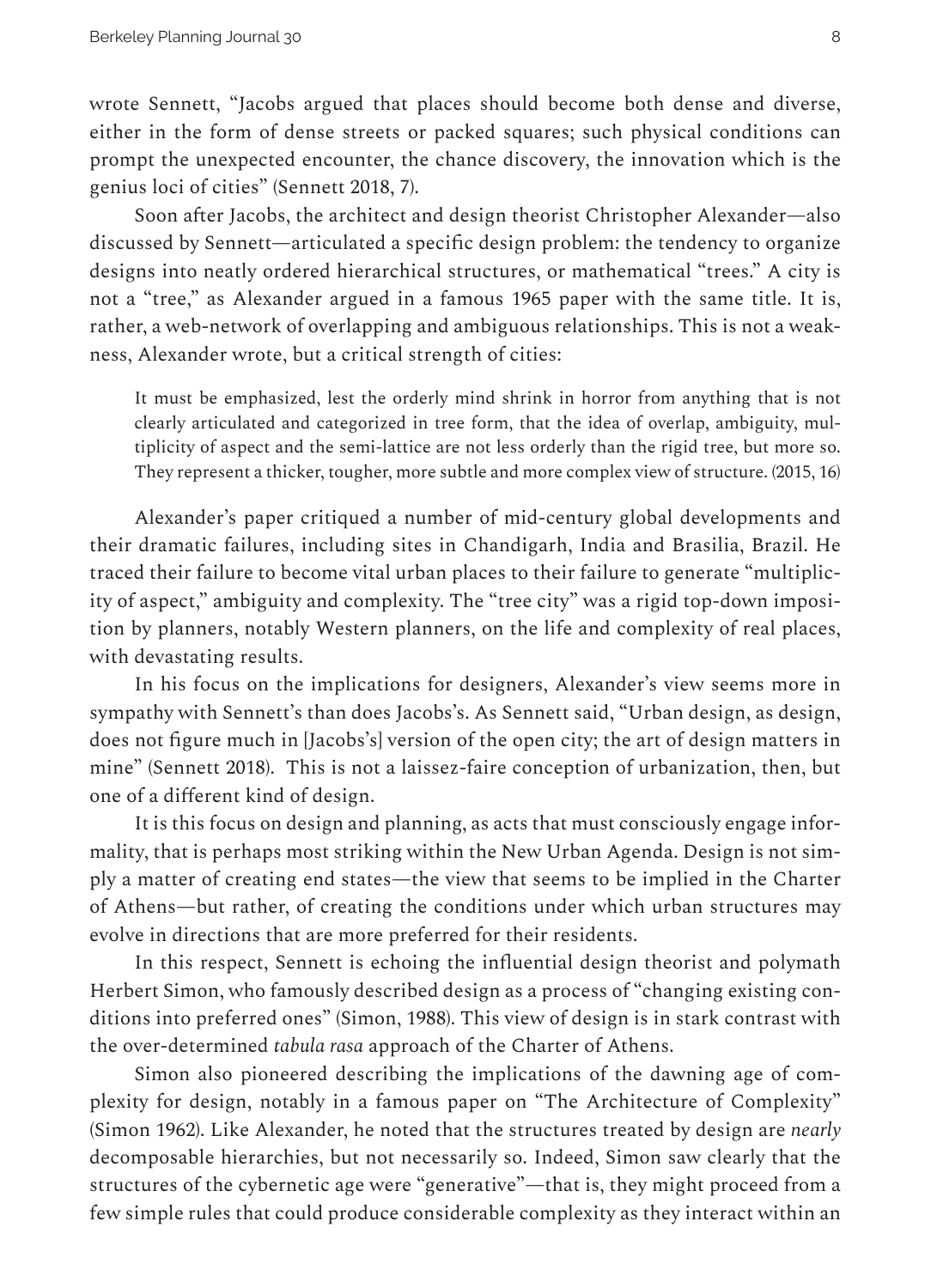wrote Sennett, "Jacobs argued that places should become both dense and diverse, either in the form of dense streets or packed squares; such physical conditions can prompt the unexpected encounter, the chance discovery, the innovation which is the genius loci of cities" (Sennett 2018, 7).

Soon after Jacobs, the architect and design theorist Christopher Alexander—also discussed by Sennett—articulated a specific design problem: the tendency to organize designs into neatly ordered hierarchical structures, or mathematical "trees." A city is not a "tree," as Alexander argued in a famous 1965 paper with the same title. It is, rather, a web-network of overlapping and ambiguous relationships. This is not a weakness, Alexander wrote, but a critical strength of cities:

It must be emphasized, lest the orderly mind shrink in horror from anything that is not clearly articulated and categorized in tree form, that the idea of overlap, ambiguity, multiplicity of aspect and the semi-lattice are not less orderly than the rigid tree, but more so. They represent a thicker, tougher, more subtle and more complex view of structure. (2015, 16)

Alexander's paper critiqued a number of mid-century global developments and their dramatic failures, including sites in Chandigarh, India and Brasilia, Brazil. He traced their failure to become vital urban places to their failure to generate "multiplicity of aspect," ambiguity and complexity. The "tree city" was a rigid top-down imposition by planners, notably Western planners, on the life and complexity of real places, with devastating results.

In his focus on the implications for designers, Alexander's view seems more in sympathy with Sennett's than does Jacobs's. As Sennett said, "Urban design, as design, does not figure much in [Jacobs's] version of the open city; the art of design matters in mine" (Sennett 2018). This is not a laissez-faire conception of urbanization, then, but one of a different kind of design.

It is this focus on design and planning, as acts that must consciously engage informality, that is perhaps most striking within the New Urban Agenda. Design is not simply a matter of creating end states—the view that seems to be implied in the Charter of Athens—but rather, of creating the conditions under which urban structures may evolve in directions that are more preferred for their residents.

In this respect, Sennett is echoing the influential design theorist and polymath Herbert Simon, who famously described design as a process of "changing existing conditions into preferred ones" (Simon, 1988). This view of design is in stark contrast with the over-determined *tabula rasa* approach of the Charter of Athens.

Simon also pioneered describing the implications of the dawning age of complexity for design, notably in a famous paper on "The Architecture of Complexity" (Simon 1962). Like Alexander, he noted that the structures treated by design are *nearly*  decomposable hierarchies, but not necessarily so. Indeed, Simon saw clearly that the structures of the cybernetic age were "generative"—that is, they might proceed from a few simple rules that could produce considerable complexity as they interact within an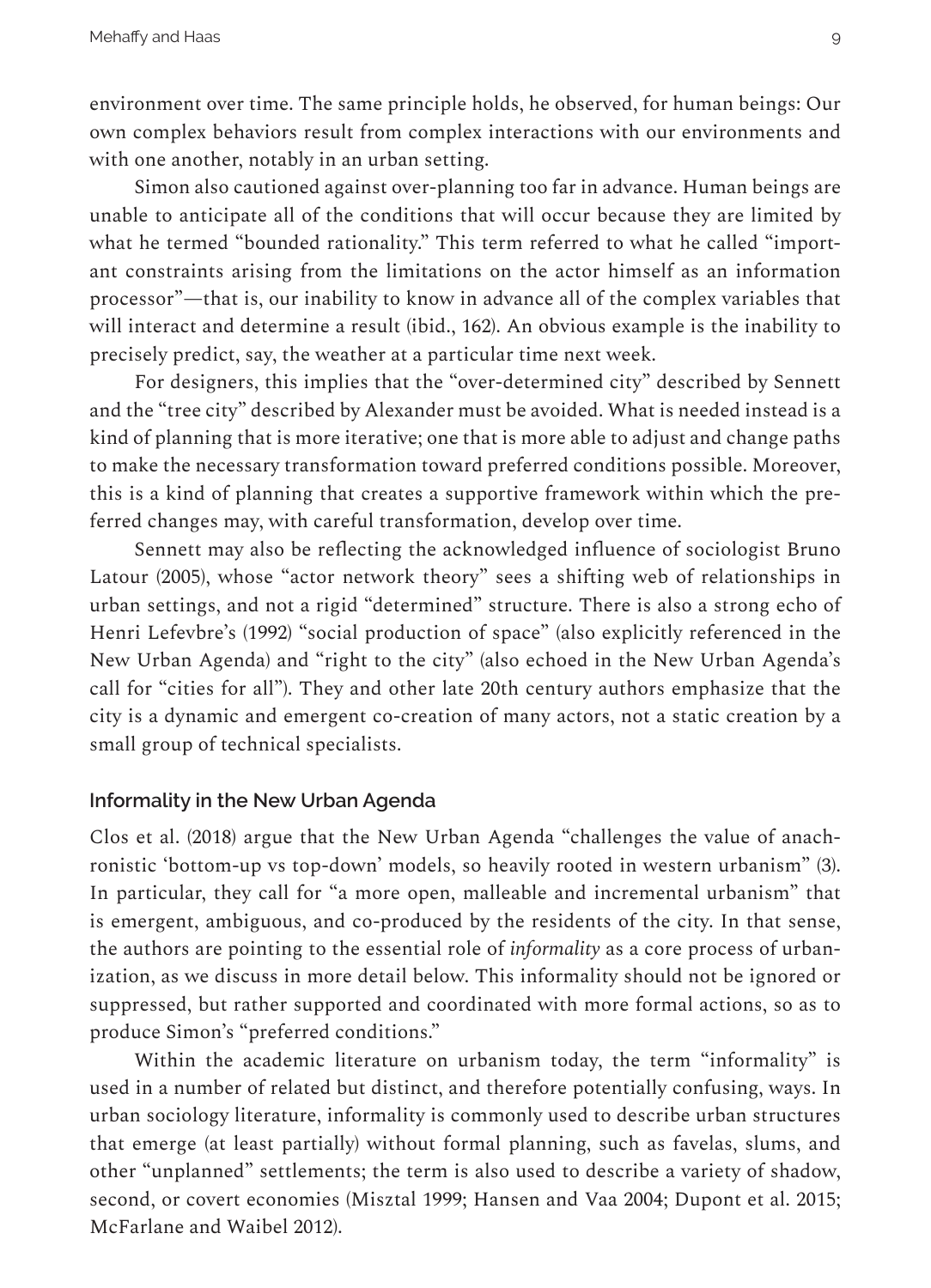environment over time. The same principle holds, he observed, for human beings: Our own complex behaviors result from complex interactions with our environments and with one another, notably in an urban setting.

Simon also cautioned against over-planning too far in advance. Human beings are unable to anticipate all of the conditions that will occur because they are limited by what he termed "bounded rationality." This term referred to what he called "important constraints arising from the limitations on the actor himself as an information processor"—that is, our inability to know in advance all of the complex variables that will interact and determine a result (ibid., 162). An obvious example is the inability to precisely predict, say, the weather at a particular time next week.

For designers, this implies that the "over-determined city" described by Sennett and the "tree city" described by Alexander must be avoided. What is needed instead is a kind of planning that is more iterative; one that is more able to adjust and change paths to make the necessary transformation toward preferred conditions possible. Moreover, this is a kind of planning that creates a supportive framework within which the preferred changes may, with careful transformation, develop over time.

Sennett may also be reflecting the acknowledged influence of sociologist Bruno Latour (2005), whose "actor network theory" sees a shifting web of relationships in urban settings, and not a rigid "determined" structure. There is also a strong echo of Henri Lefevbre's (1992) "social production of space" (also explicitly referenced in the New Urban Agenda) and "right to the city" (also echoed in the New Urban Agenda's call for "cities for all"). They and other late 20th century authors emphasize that the city is a dynamic and emergent co-creation of many actors, not a static creation by a small group of technical specialists.

# **Informality in the New Urban Agenda**

Clos et al. (2018) argue that the New Urban Agenda "challenges the value of anachronistic 'bottom-up vs top-down' models, so heavily rooted in western urbanism" (3). In particular, they call for "a more open, malleable and incremental urbanism" that is emergent, ambiguous, and co-produced by the residents of the city. In that sense, the authors are pointing to the essential role of *informality* as a core process of urbanization, as we discuss in more detail below. This informality should not be ignored or suppressed, but rather supported and coordinated with more formal actions, so as to produce Simon's "preferred conditions."

Within the academic literature on urbanism today, the term "informality" is used in a number of related but distinct, and therefore potentially confusing, ways. In urban sociology literature, informality is commonly used to describe urban structures that emerge (at least partially) without formal planning, such as favelas, slums, and other "unplanned" settlements; the term is also used to describe a variety of shadow, second, or covert economies (Misztal 1999; Hansen and Vaa 2004; Dupont et al. 2015; McFarlane and Waibel 2012).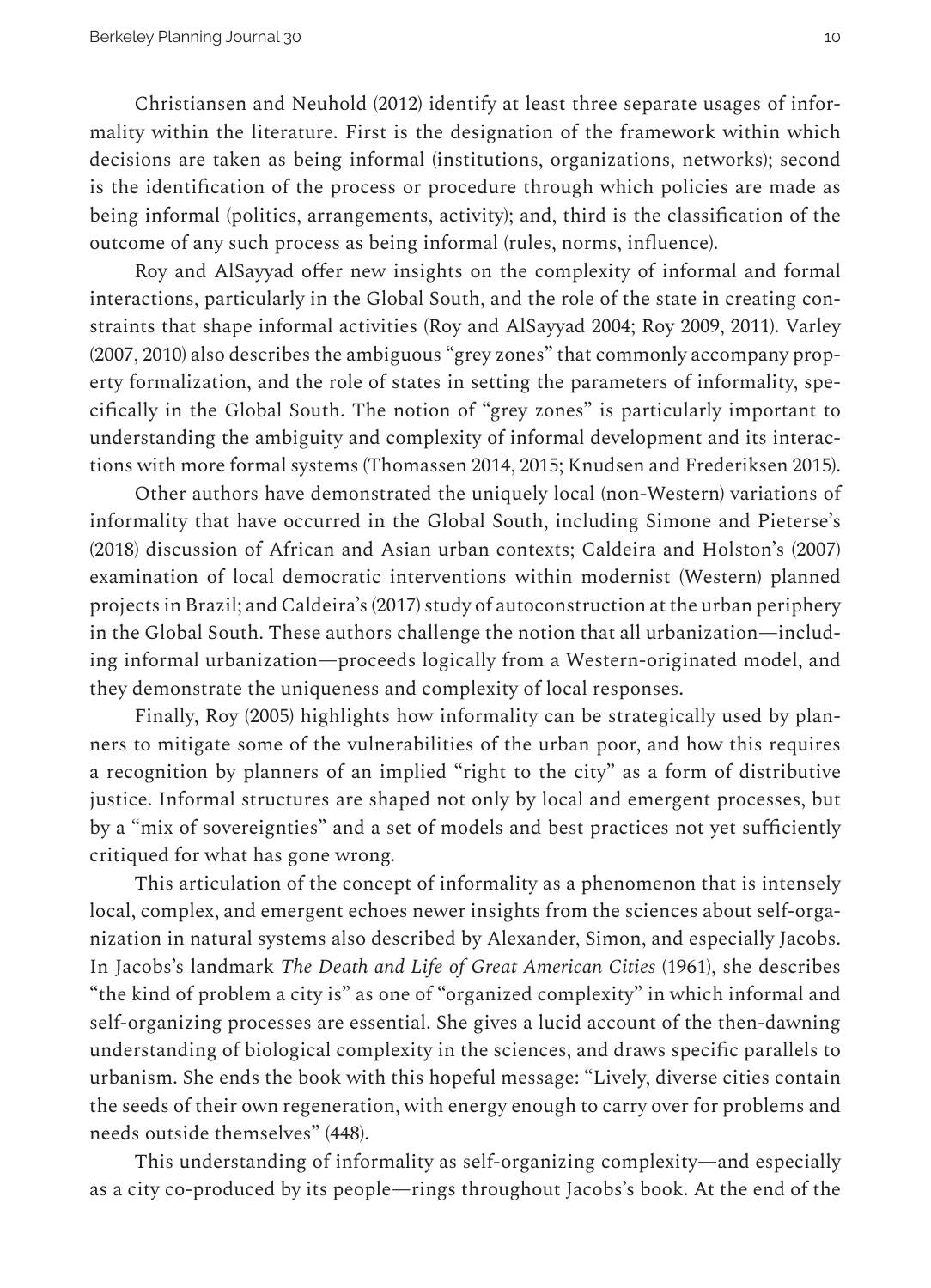Christiansen and Neuhold (2012) identify at least three separate usages of informality within the literature. First is the designation of the framework within which decisions are taken as being informal (institutions, organizations, networks); second is the identification of the process or procedure through which policies are made as being informal (politics, arrangements, activity); and, third is the classification of the outcome of any such process as being informal (rules, norms, influence).

Roy and AlSayyad offer new insights on the complexity of informal and formal interactions, particularly in the Global South, and the role of the state in creating constraints that shape informal activities (Roy and AlSayyad 2004; Roy 2009, 2011). Varley (2007, 2010) also describes the ambiguous "grey zones" that commonly accompany property formalization, and the role of states in setting the parameters of informality, specifically in the Global South. The notion of "grey zones" is particularly important to understanding the ambiguity and complexity of informal development and its interactions with more formal systems (Thomassen 2014, 2015; Knudsen and Frederiksen 2015).

Other authors have demonstrated the uniquely local (non-Western) variations of informality that have occurred in the Global South, including Simone and Pieterse's (2018) discussion of African and Asian urban contexts; Caldeira and Holston's (2007) examination of local democratic interventions within modernist (Western) planned projects in Brazil; and Caldeira's (2017) study of autoconstruction at the urban periphery in the Global South. These authors challenge the notion that all urbanization—including informal urbanization—proceeds logically from a Western-originated model, and they demonstrate the uniqueness and complexity of local responses.

Finally, Roy (2005) highlights how informality can be strategically used by planners to mitigate some of the vulnerabilities of the urban poor, and how this requires a recognition by planners of an implied "right to the city" as a form of distributive justice. Informal structures are shaped not only by local and emergent processes, but by a "mix of sovereignties" and a set of models and best practices not yet sufficiently critiqued for what has gone wrong.

This articulation of the concept of informality as a phenomenon that is intensely local, complex, and emergent echoes newer insights from the sciences about self-organization in natural systems also described by Alexander, Simon, and especially Jacobs. In Jacobs's landmark *The Death and Life of Great American Cities* (1961), she describes "the kind of problem a city is" as one of "organized complexity" in which informal and self-organizing processes are essential. She gives a lucid account of the then-dawning understanding of biological complexity in the sciences, and draws specific parallels to urbanism. She ends the book with this hopeful message: "Lively, diverse cities contain the seeds of their own regeneration, with energy enough to carry over for problems and needs outside themselves" (448).

This understanding of informality as self-organizing complexity—and especially as a city co-produced by its people—rings throughout Jacobs's book. At the end of the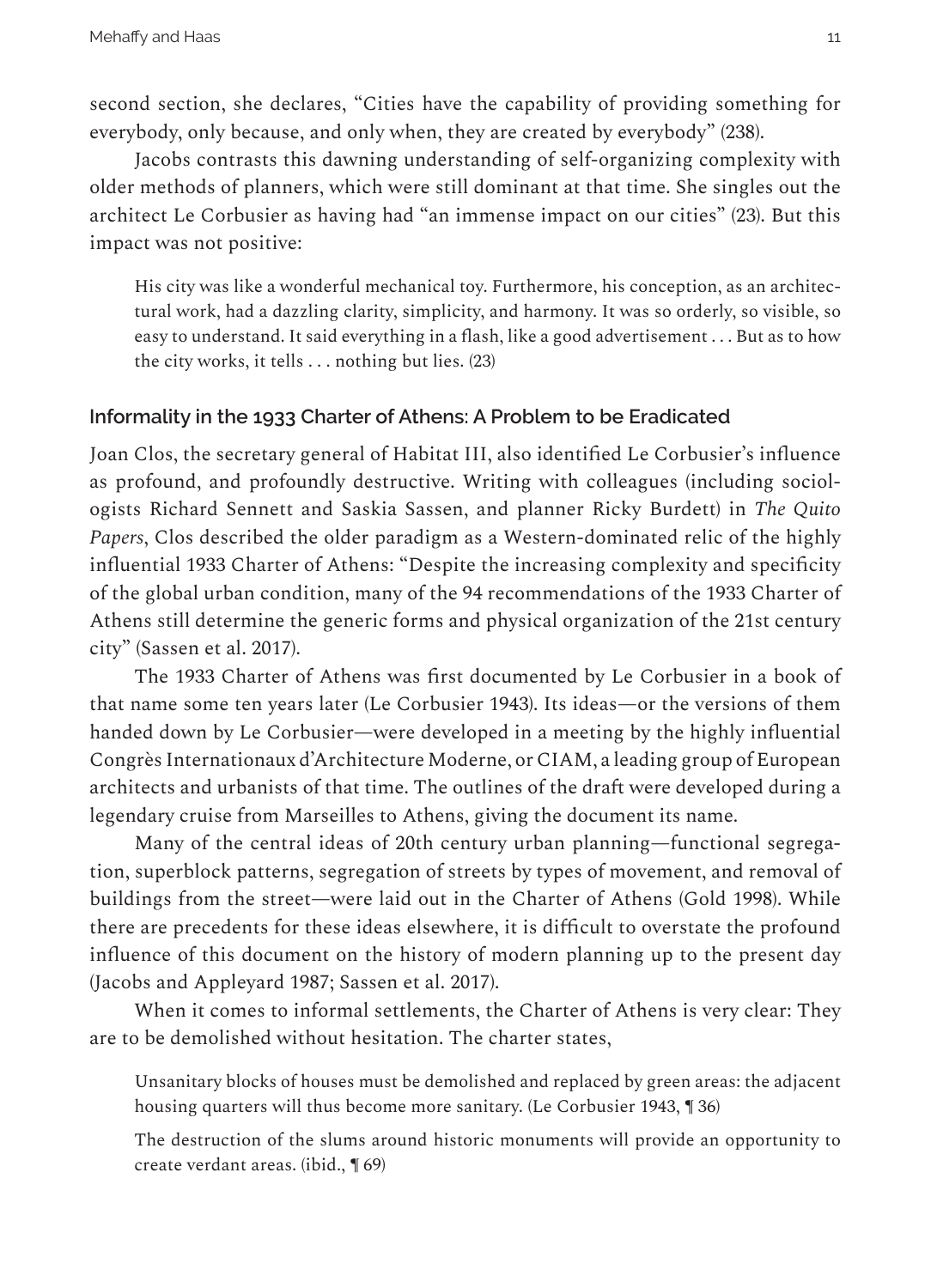second section, she declares, "Cities have the capability of providing something for everybody, only because, and only when, they are created by everybody" (238).

Jacobs contrasts this dawning understanding of self-organizing complexity with older methods of planners, which were still dominant at that time. She singles out the architect Le Corbusier as having had "an immense impact on our cities" (23). But this impact was not positive:

His city was like a wonderful mechanical toy. Furthermore, his conception, as an architectural work, had a dazzling clarity, simplicity, and harmony. It was so orderly, so visible, so easy to understand. It said everything in a flash, like a good advertisement . . . But as to how the city works, it tells . . . nothing but lies. (23)

# **Informality in the 1933 Charter of Athens: A Problem to be Eradicated**

Joan Clos, the secretary general of Habitat III, also identified Le Corbusier's influence as profound, and profoundly destructive. Writing with colleagues (including sociologists Richard Sennett and Saskia Sassen, and planner Ricky Burdett) in *The Quito Papers*, Clos described the older paradigm as a Western-dominated relic of the highly influential 1933 Charter of Athens: "Despite the increasing complexity and specificity of the global urban condition, many of the 94 recommendations of the 1933 Charter of Athens still determine the generic forms and physical organization of the 21st century city" (Sassen et al. 2017).

The 1933 Charter of Athens was first documented by Le Corbusier in a book of that name some ten years later (Le Corbusier 1943). Its ideas—or the versions of them handed down by Le Corbusier—were developed in a meeting by the highly influential Congrès Internationaux d'Architecture Moderne, or CIAM, a leading group of European architects and urbanists of that time. The outlines of the draft were developed during a legendary cruise from Marseilles to Athens, giving the document its name.

Many of the central ideas of 20th century urban planning—functional segregation, superblock patterns, segregation of streets by types of movement, and removal of buildings from the street—were laid out in the Charter of Athens (Gold 1998). While there are precedents for these ideas elsewhere, it is difficult to overstate the profound influence of this document on the history of modern planning up to the present day (Jacobs and Appleyard 1987; Sassen et al. 2017).

When it comes to informal settlements, the Charter of Athens is very clear: They are to be demolished without hesitation. The charter states,

Unsanitary blocks of houses must be demolished and replaced by green areas: the adjacent housing quarters will thus become more sanitary. (Le Corbusier 1943, ¶ 36)

The destruction of the slums around historic monuments will provide an opportunity to create verdant areas. (ibid., ¶ 69)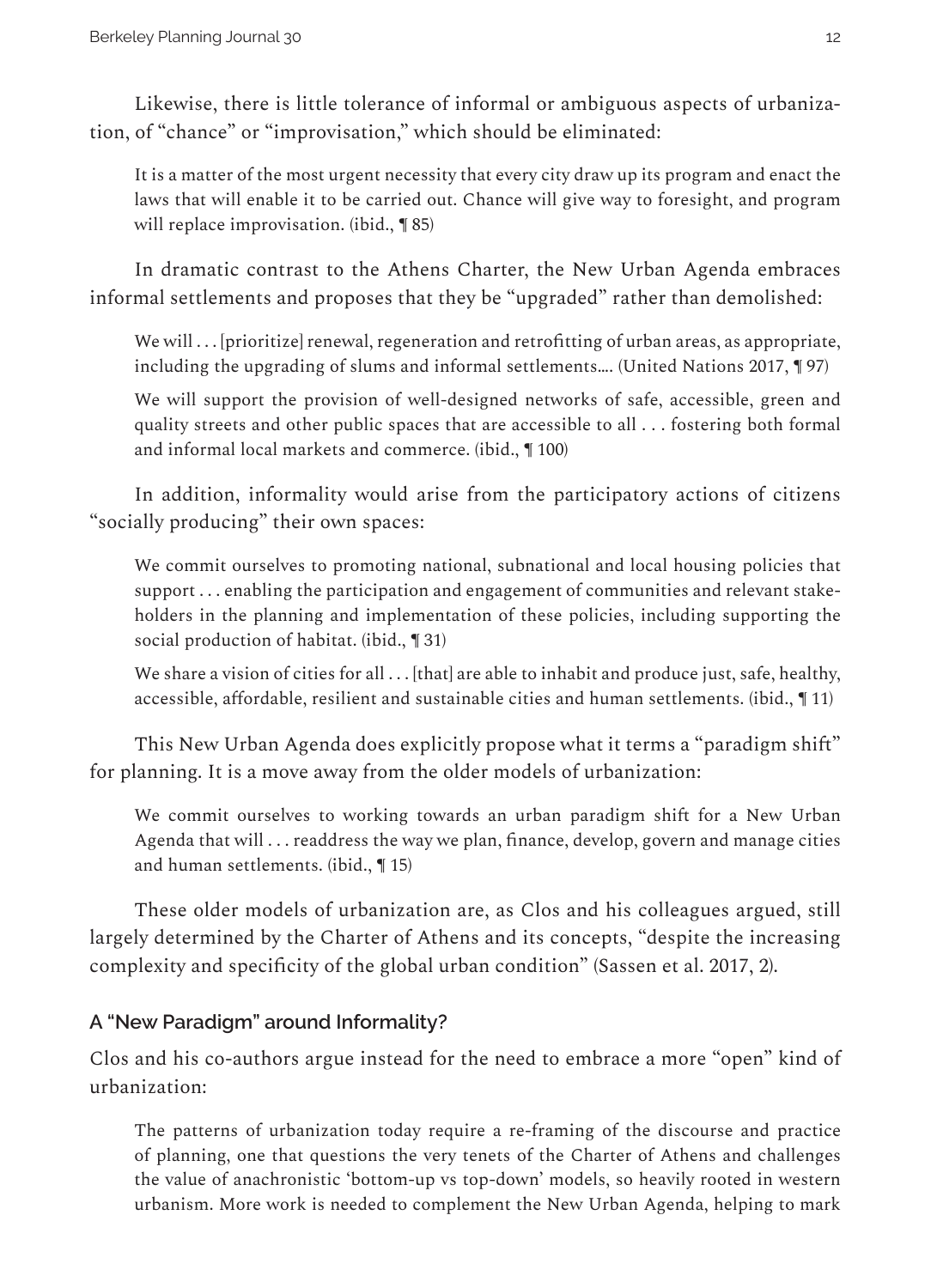Likewise, there is little tolerance of informal or ambiguous aspects of urbanization, of "chance" or "improvisation," which should be eliminated:

It is a matter of the most urgent necessity that every city draw up its program and enact the laws that will enable it to be carried out. Chance will give way to foresight, and program will replace improvisation. (ibid., ¶ 85)

In dramatic contrast to the Athens Charter, the New Urban Agenda embraces informal settlements and proposes that they be "upgraded" rather than demolished:

We will  $\ldots$  [prioritize] renewal, regeneration and retrofitting of urban areas, as appropriate, including the upgrading of slums and informal settlements…. (United Nations 2017, ¶ 97)

We will support the provision of well-designed networks of safe, accessible, green and quality streets and other public spaces that are accessible to all . . . fostering both formal and informal local markets and commerce. (ibid., ¶ 100)

In addition, informality would arise from the participatory actions of citizens "socially producing" their own spaces:

We commit ourselves to promoting national, subnational and local housing policies that support . . . enabling the participation and engagement of communities and relevant stakeholders in the planning and implementation of these policies, including supporting the social production of habitat. (ibid., ¶ 31)

We share a vision of cities for all  $\ldots$  [that] are able to inhabit and produce just, safe, healthy, accessible, affordable, resilient and sustainable cities and human settlements. (ibid., ¶ 11)

This New Urban Agenda does explicitly propose what it terms a "paradigm shift" for planning. It is a move away from the older models of urbanization:

We commit ourselves to working towards an urban paradigm shift for a New Urban Agenda that will . . . readdress the way we plan, finance, develop, govern and manage cities and human settlements. (ibid., ¶ 15)

These older models of urbanization are, as Clos and his colleagues argued, still largely determined by the Charter of Athens and its concepts, "despite the increasing complexity and specificity of the global urban condition" (Sassen et al. 2017, 2).

# **A "New Paradigm" around Informality?**

Clos and his co-authors argue instead for the need to embrace a more "open" kind of urbanization:

The patterns of urbanization today require a re-framing of the discourse and practice of planning, one that questions the very tenets of the Charter of Athens and challenges the value of anachronistic 'bottom-up vs top-down' models, so heavily rooted in western urbanism. More work is needed to complement the New Urban Agenda, helping to mark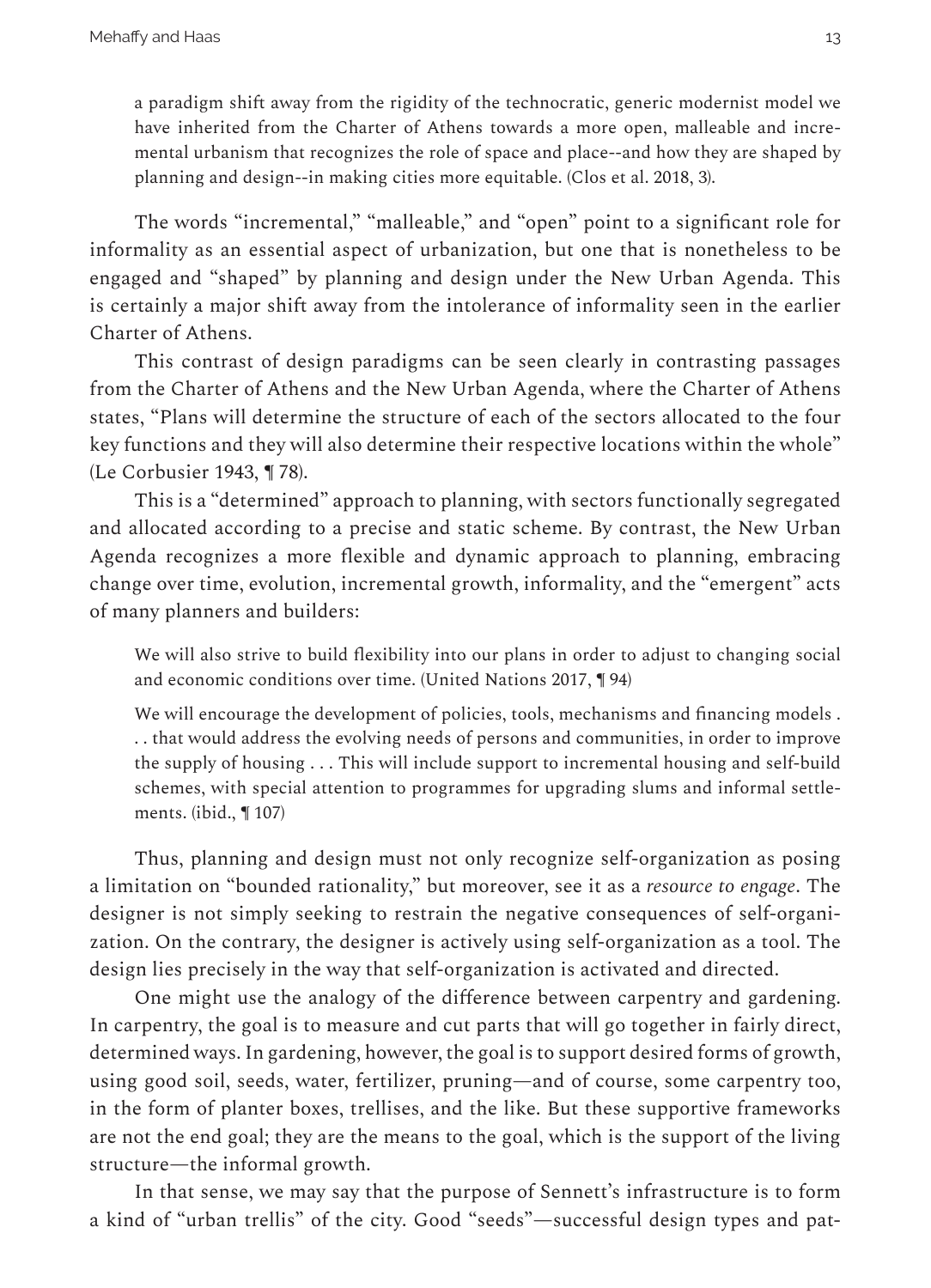a paradigm shift away from the rigidity of the technocratic, generic modernist model we have inherited from the Charter of Athens towards a more open, malleable and incremental urbanism that recognizes the role of space and place--and how they are shaped by planning and design--in making cities more equitable. (Clos et al. 2018, 3).

The words "incremental," "malleable," and "open" point to a significant role for informality as an essential aspect of urbanization, but one that is nonetheless to be engaged and "shaped" by planning and design under the New Urban Agenda. This is certainly a major shift away from the intolerance of informality seen in the earlier Charter of Athens.

This contrast of design paradigms can be seen clearly in contrasting passages from the Charter of Athens and the New Urban Agenda, where the Charter of Athens states, "Plans will determine the structure of each of the sectors allocated to the four key functions and they will also determine their respective locations within the whole" (Le Corbusier 1943, ¶ 78).

This is a "determined" approach to planning, with sectors functionally segregated and allocated according to a precise and static scheme. By contrast, the New Urban Agenda recognizes a more flexible and dynamic approach to planning, embracing change over time, evolution, incremental growth, informality, and the "emergent" acts of many planners and builders:

We will also strive to build flexibility into our plans in order to adjust to changing social and economic conditions over time. (United Nations 2017, ¶ 94)

We will encourage the development of policies, tools, mechanisms and financing models . . . that would address the evolving needs of persons and communities, in order to improve the supply of housing . . . This will include support to incremental housing and self-build schemes, with special attention to programmes for upgrading slums and informal settlements. (ibid., ¶ 107)

Thus, planning and design must not only recognize self-organization as posing a limitation on "bounded rationality," but moreover, see it as a *resource to engage*. The designer is not simply seeking to restrain the negative consequences of self-organization. On the contrary, the designer is actively using self-organization as a tool. The design lies precisely in the way that self-organization is activated and directed.

One might use the analogy of the difference between carpentry and gardening. In carpentry, the goal is to measure and cut parts that will go together in fairly direct, determined ways. In gardening, however, the goal is to support desired forms of growth, using good soil, seeds, water, fertilizer, pruning—and of course, some carpentry too, in the form of planter boxes, trellises, and the like. But these supportive frameworks are not the end goal; they are the means to the goal, which is the support of the living structure—the informal growth.

In that sense, we may say that the purpose of Sennett's infrastructure is to form a kind of "urban trellis" of the city. Good "seeds"—successful design types and pat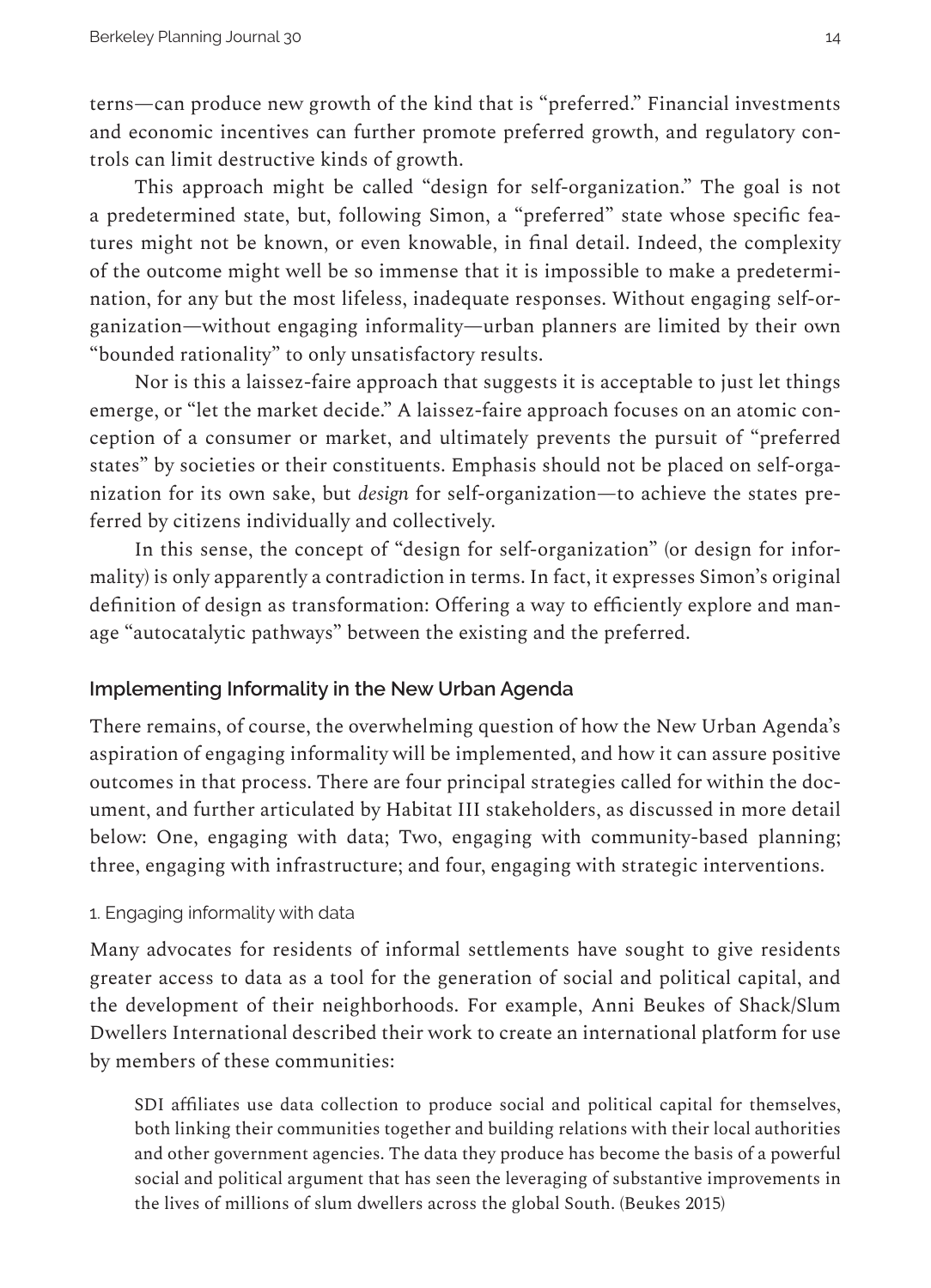terns—can produce new growth of the kind that is "preferred." Financial investments and economic incentives can further promote preferred growth, and regulatory controls can limit destructive kinds of growth.

This approach might be called "design for self-organization." The goal is not a predetermined state, but, following Simon, a "preferred" state whose specific features might not be known, or even knowable, in final detail. Indeed, the complexity of the outcome might well be so immense that it is impossible to make a predetermination, for any but the most lifeless, inadequate responses. Without engaging self-organization—without engaging informality—urban planners are limited by their own "bounded rationality" to only unsatisfactory results.

Nor is this a laissez-faire approach that suggests it is acceptable to just let things emerge, or "let the market decide." A laissez-faire approach focuses on an atomic conception of a consumer or market, and ultimately prevents the pursuit of "preferred states" by societies or their constituents. Emphasis should not be placed on self-organization for its own sake, but *design* for self-organization—to achieve the states preferred by citizens individually and collectively.

In this sense, the concept of "design for self-organization" (or design for informality) is only apparently a contradiction in terms. In fact, it expresses Simon's original definition of design as transformation: Offering a way to efficiently explore and manage "autocatalytic pathways" between the existing and the preferred.

# **Implementing Informality in the New Urban Agenda**

There remains, of course, the overwhelming question of how the New Urban Agenda's aspiration of engaging informality will be implemented, and how it can assure positive outcomes in that process. There are four principal strategies called for within the document, and further articulated by Habitat III stakeholders, as discussed in more detail below: One, engaging with data; Two, engaging with community-based planning; three, engaging with infrastructure; and four, engaging with strategic interventions.

### 1. Engaging informality with data

Many advocates for residents of informal settlements have sought to give residents greater access to data as a tool for the generation of social and political capital, and the development of their neighborhoods. For example, Anni Beukes of Shack/Slum Dwellers International described their work to create an international platform for use by members of these communities:

SDI affiliates use data collection to produce social and political capital for themselves, both linking their communities together and building relations with their local authorities and other government agencies. The data they produce has become the basis of a powerful social and political argument that has seen the leveraging of substantive improvements in the lives of millions of slum dwellers across the global South. (Beukes 2015)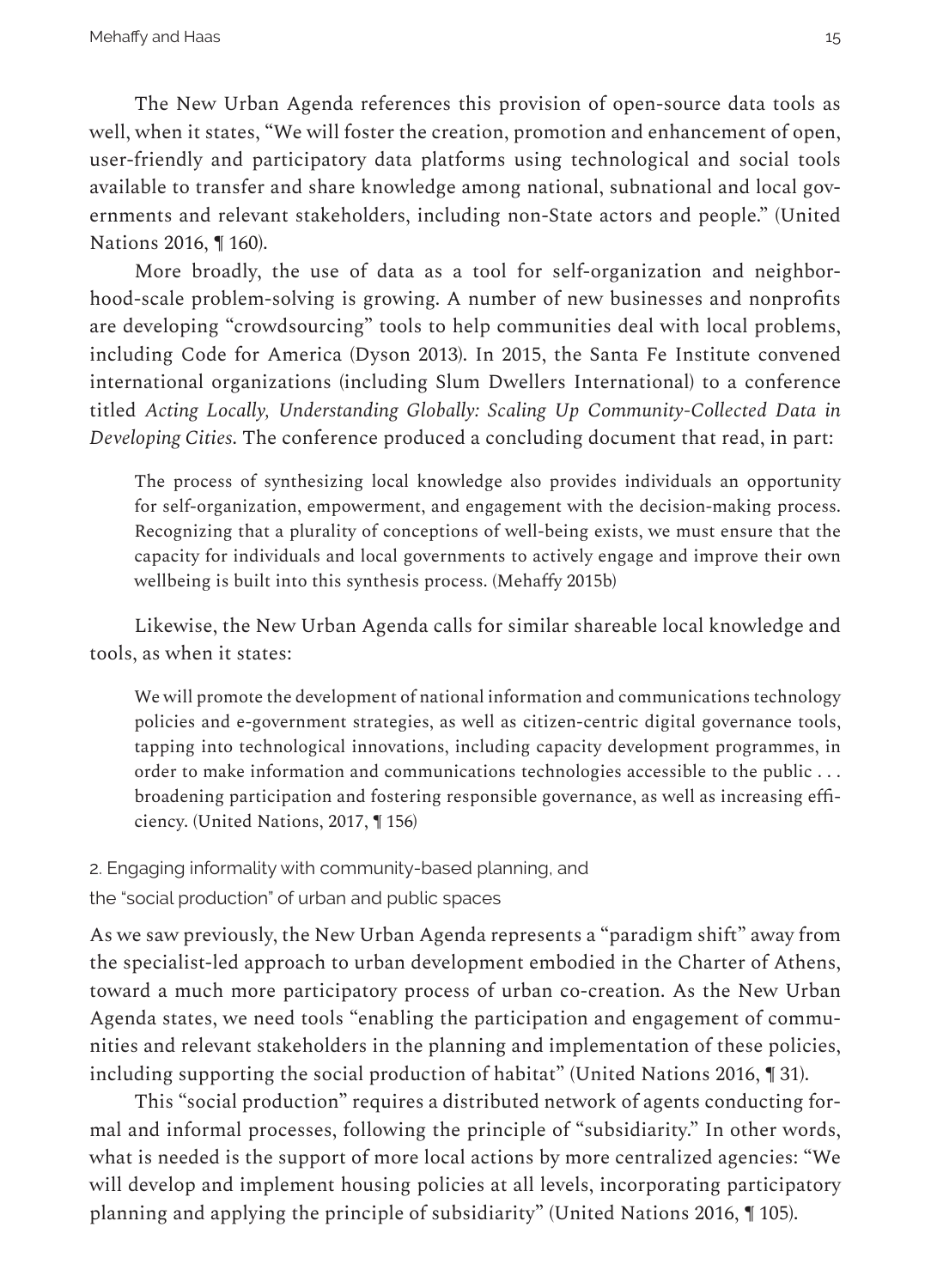The New Urban Agenda references this provision of open-source data tools as well, when it states, "We will foster the creation, promotion and enhancement of open, user-friendly and participatory data platforms using technological and social tools available to transfer and share knowledge among national, subnational and local governments and relevant stakeholders, including non-State actors and people." (United Nations 2016, ¶ 160).

More broadly, the use of data as a tool for self-organization and neighborhood-scale problem-solving is growing. A number of new businesses and nonprofits are developing "crowdsourcing" tools to help communities deal with local problems, including Code for America (Dyson 2013). In 2015, the Santa Fe Institute convened international organizations (including Slum Dwellers International) to a conference titled *Acting Locally, Understanding Globally: Scaling Up Community-Collected Data in Developing Cities*. The conference produced a concluding document that read, in part:

The process of synthesizing local knowledge also provides individuals an opportunity for self-organization, empowerment, and engagement with the decision-making process. Recognizing that a plurality of conceptions of well-being exists, we must ensure that the capacity for individuals and local governments to actively engage and improve their own wellbeing is built into this synthesis process. (Mehaffy 2015b)

Likewise, the New Urban Agenda calls for similar shareable local knowledge and tools, as when it states:

We will promote the development of national information and communications technology policies and e-government strategies, as well as citizen-centric digital governance tools, tapping into technological innovations, including capacity development programmes, in order to make information and communications technologies accessible to the public . . . broadening participation and fostering responsible governance, as well as increasing efficiency. (United Nations, 2017, ¶ 156)

2. Engaging informality with community-based planning, and the "social production" of urban and public spaces

As we saw previously, the New Urban Agenda represents a "paradigm shift" away from the specialist-led approach to urban development embodied in the Charter of Athens, toward a much more participatory process of urban co-creation. As the New Urban Agenda states, we need tools "enabling the participation and engagement of communities and relevant stakeholders in the planning and implementation of these policies, including supporting the social production of habitat" (United Nations 2016, ¶ 31).

This "social production" requires a distributed network of agents conducting formal and informal processes, following the principle of "subsidiarity." In other words, what is needed is the support of more local actions by more centralized agencies: "We will develop and implement housing policies at all levels, incorporating participatory planning and applying the principle of subsidiarity" (United Nations 2016, ¶ 105).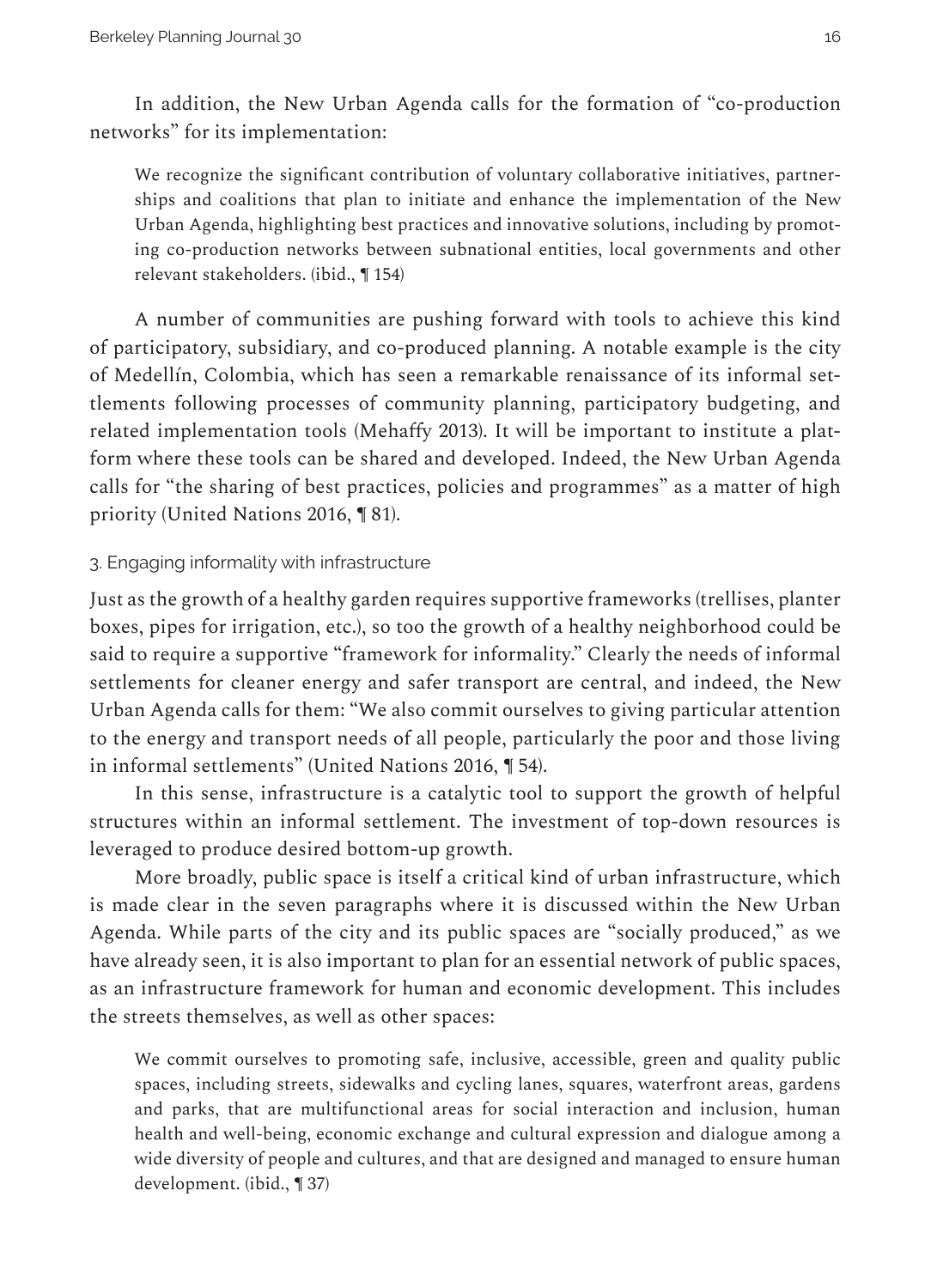In addition, the New Urban Agenda calls for the formation of "co-production networks" for its implementation:

We recognize the significant contribution of voluntary collaborative initiatives, partnerships and coalitions that plan to initiate and enhance the implementation of the New Urban Agenda, highlighting best practices and innovative solutions, including by promoting co-production networks between subnational entities, local governments and other relevant stakeholders. (ibid., ¶ 154)

A number of communities are pushing forward with tools to achieve this kind of participatory, subsidiary, and co-produced planning. A notable example is the city of Medellín, Colombia, which has seen a remarkable renaissance of its informal settlements following processes of community planning, participatory budgeting, and related implementation tools (Mehaffy 2013). It will be important to institute a platform where these tools can be shared and developed. Indeed, the New Urban Agenda calls for "the sharing of best practices, policies and programmes" as a matter of high priority (United Nations 2016, ¶ 81).

# 3. Engaging informality with infrastructure

Just as the growth of a healthy garden requires supportive frameworks (trellises, planter boxes, pipes for irrigation, etc.), so too the growth of a healthy neighborhood could be said to require a supportive "framework for informality." Clearly the needs of informal settlements for cleaner energy and safer transport are central, and indeed, the New Urban Agenda calls for them: "We also commit ourselves to giving particular attention to the energy and transport needs of all people, particularly the poor and those living in informal settlements" (United Nations 2016, ¶ 54).

In this sense, infrastructure is a catalytic tool to support the growth of helpful structures within an informal settlement. The investment of top-down resources is leveraged to produce desired bottom-up growth.

More broadly, public space is itself a critical kind of urban infrastructure, which is made clear in the seven paragraphs where it is discussed within the New Urban Agenda. While parts of the city and its public spaces are "socially produced," as we have already seen, it is also important to plan for an essential network of public spaces, as an infrastructure framework for human and economic development. This includes the streets themselves, as well as other spaces:

We commit ourselves to promoting safe, inclusive, accessible, green and quality public spaces, including streets, sidewalks and cycling lanes, squares, waterfront areas, gardens and parks, that are multifunctional areas for social interaction and inclusion, human health and well-being, economic exchange and cultural expression and dialogue among a wide diversity of people and cultures, and that are designed and managed to ensure human development. (ibid., ¶ 37)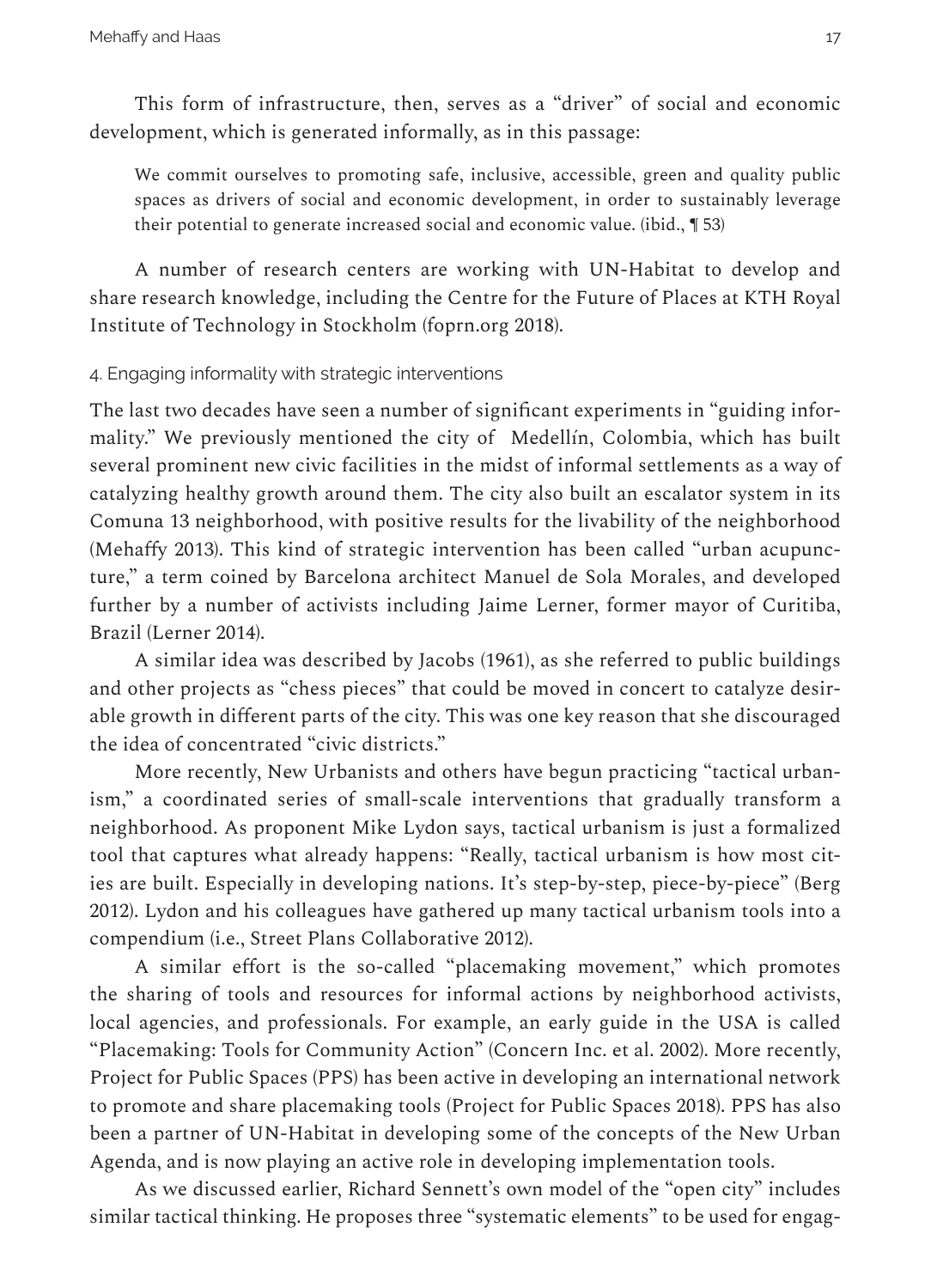This form of infrastructure, then, serves as a "driver" of social and economic development, which is generated informally, as in this passage:

We commit ourselves to promoting safe, inclusive, accessible, green and quality public spaces as drivers of social and economic development, in order to sustainably leverage their potential to generate increased social and economic value. (ibid., ¶ 53)

A number of research centers are working with UN-Habitat to develop and share research knowledge, including the Centre for the Future of Places at KTH Royal Institute of Technology in Stockholm (foprn.org 2018).

# 4. Engaging informality with strategic interventions

The last two decades have seen a number of significant experiments in "guiding informality." We previously mentioned the city of Medellín, Colombia, which has built several prominent new civic facilities in the midst of informal settlements as a way of catalyzing healthy growth around them. The city also built an escalator system in its Comuna 13 neighborhood, with positive results for the livability of the neighborhood (Mehaffy 2013). This kind of strategic intervention has been called "urban acupuncture," a term coined by Barcelona architect Manuel de Sola Morales, and developed further by a number of activists including Jaime Lerner, former mayor of Curitiba, Brazil (Lerner 2014).

A similar idea was described by Jacobs (1961), as she referred to public buildings and other projects as "chess pieces" that could be moved in concert to catalyze desirable growth in different parts of the city. This was one key reason that she discouraged the idea of concentrated "civic districts."

More recently, New Urbanists and others have begun practicing "tactical urbanism," a coordinated series of small-scale interventions that gradually transform a neighborhood. As proponent Mike Lydon says, tactical urbanism is just a formalized tool that captures what already happens: "Really, tactical urbanism is how most cities are built. Especially in developing nations. It's step-by-step, piece-by-piece" (Berg 2012). Lydon and his colleagues have gathered up many tactical urbanism tools into a compendium (i.e., Street Plans Collaborative 2012).

A similar effort is the so-called "placemaking movement," which promotes the sharing of tools and resources for informal actions by neighborhood activists, local agencies, and professionals. For example, an early guide in the USA is called "Placemaking: Tools for Community Action" (Concern Inc. et al. 2002). More recently, Project for Public Spaces (PPS) has been active in developing an international network to promote and share placemaking tools (Project for Public Spaces 2018). PPS has also been a partner of UN-Habitat in developing some of the concepts of the New Urban Agenda, and is now playing an active role in developing implementation tools.

As we discussed earlier, Richard Sennett's own model of the "open city" includes similar tactical thinking. He proposes three "systematic elements" to be used for engag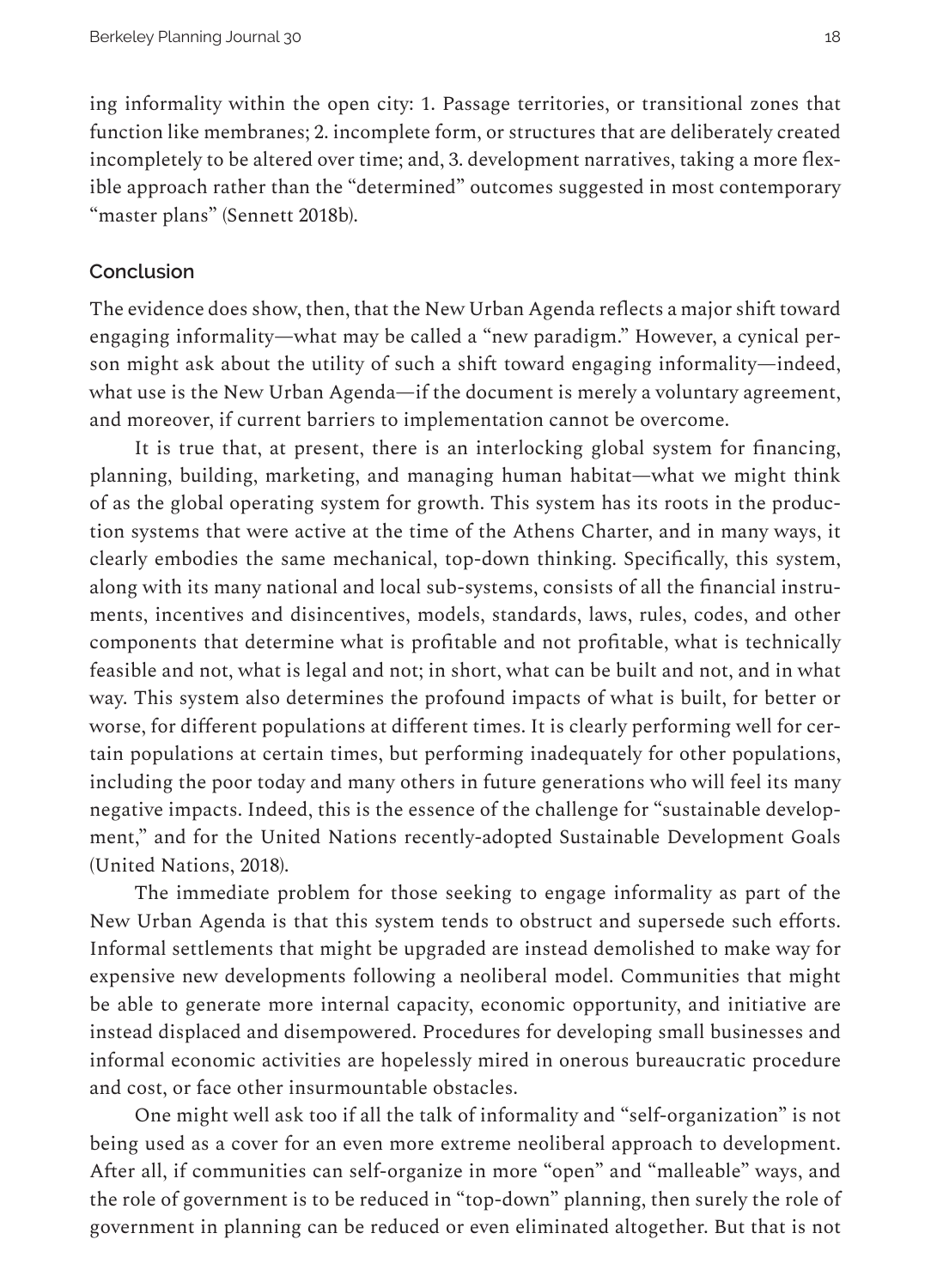ing informality within the open city: 1. Passage territories, or transitional zones that function like membranes; 2. incomplete form, or structures that are deliberately created incompletely to be altered over time; and, 3. development narratives, taking a more flexible approach rather than the "determined" outcomes suggested in most contemporary "master plans" (Sennett 2018b).

# **Conclusion**

The evidence does show, then, that the New Urban Agenda reflects a major shift toward engaging informality—what may be called a "new paradigm." However, a cynical person might ask about the utility of such a shift toward engaging informality—indeed, what use is the New Urban Agenda—if the document is merely a voluntary agreement, and moreover, if current barriers to implementation cannot be overcome.

It is true that, at present, there is an interlocking global system for financing, planning, building, marketing, and managing human habitat—what we might think of as the global operating system for growth. This system has its roots in the production systems that were active at the time of the Athens Charter, and in many ways, it clearly embodies the same mechanical, top-down thinking. Specifically, this system, along with its many national and local sub-systems, consists of all the financial instruments, incentives and disincentives, models, standards, laws, rules, codes, and other components that determine what is profitable and not profitable, what is technically feasible and not, what is legal and not; in short, what can be built and not, and in what way. This system also determines the profound impacts of what is built, for better or worse, for different populations at different times. It is clearly performing well for certain populations at certain times, but performing inadequately for other populations, including the poor today and many others in future generations who will feel its many negative impacts. Indeed, this is the essence of the challenge for "sustainable development," and for the United Nations recently-adopted Sustainable Development Goals (United Nations, 2018).

The immediate problem for those seeking to engage informality as part of the New Urban Agenda is that this system tends to obstruct and supersede such efforts. Informal settlements that might be upgraded are instead demolished to make way for expensive new developments following a neoliberal model. Communities that might be able to generate more internal capacity, economic opportunity, and initiative are instead displaced and disempowered. Procedures for developing small businesses and informal economic activities are hopelessly mired in onerous bureaucratic procedure and cost, or face other insurmountable obstacles.

One might well ask too if all the talk of informality and "self-organization" is not being used as a cover for an even more extreme neoliberal approach to development. After all, if communities can self-organize in more "open" and "malleable" ways, and the role of government is to be reduced in "top-down" planning, then surely the role of government in planning can be reduced or even eliminated altogether. But that is not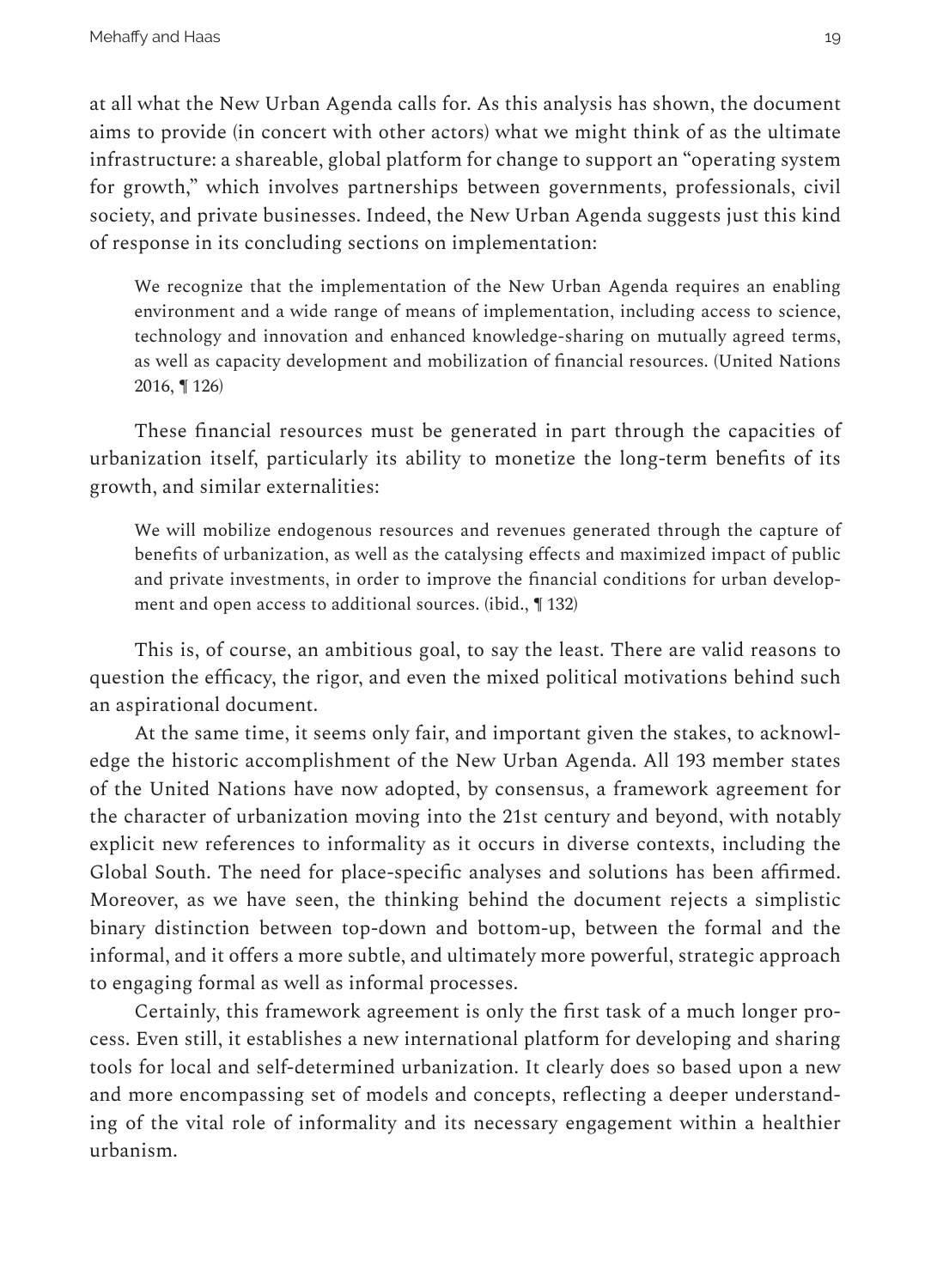at all what the New Urban Agenda calls for. As this analysis has shown, the document aims to provide (in concert with other actors) what we might think of as the ultimate infrastructure: a shareable, global platform for change to support an "operating system for growth," which involves partnerships between governments, professionals, civil society, and private businesses. Indeed, the New Urban Agenda suggests just this kind of response in its concluding sections on implementation:

We recognize that the implementation of the New Urban Agenda requires an enabling environment and a wide range of means of implementation, including access to science, technology and innovation and enhanced knowledge-sharing on mutually agreed terms, as well as capacity development and mobilization of financial resources. (United Nations 2016, ¶ 126)

These financial resources must be generated in part through the capacities of urbanization itself, particularly its ability to monetize the long-term benefits of its growth, and similar externalities:

We will mobilize endogenous resources and revenues generated through the capture of benefits of urbanization, as well as the catalysing effects and maximized impact of public and private investments, in order to improve the financial conditions for urban development and open access to additional sources. (ibid., ¶ 132)

This is, of course, an ambitious goal, to say the least. There are valid reasons to question the efficacy, the rigor, and even the mixed political motivations behind such an aspirational document.

At the same time, it seems only fair, and important given the stakes, to acknowledge the historic accomplishment of the New Urban Agenda. All 193 member states of the United Nations have now adopted, by consensus, a framework agreement for the character of urbanization moving into the 21st century and beyond, with notably explicit new references to informality as it occurs in diverse contexts, including the Global South. The need for place-specific analyses and solutions has been affirmed. Moreover, as we have seen, the thinking behind the document rejects a simplistic binary distinction between top-down and bottom-up, between the formal and the informal, and it offers a more subtle, and ultimately more powerful, strategic approach to engaging formal as well as informal processes.

Certainly, this framework agreement is only the first task of a much longer process. Even still, it establishes a new international platform for developing and sharing tools for local and self-determined urbanization. It clearly does so based upon a new and more encompassing set of models and concepts, reflecting a deeper understanding of the vital role of informality and its necessary engagement within a healthier urbanism.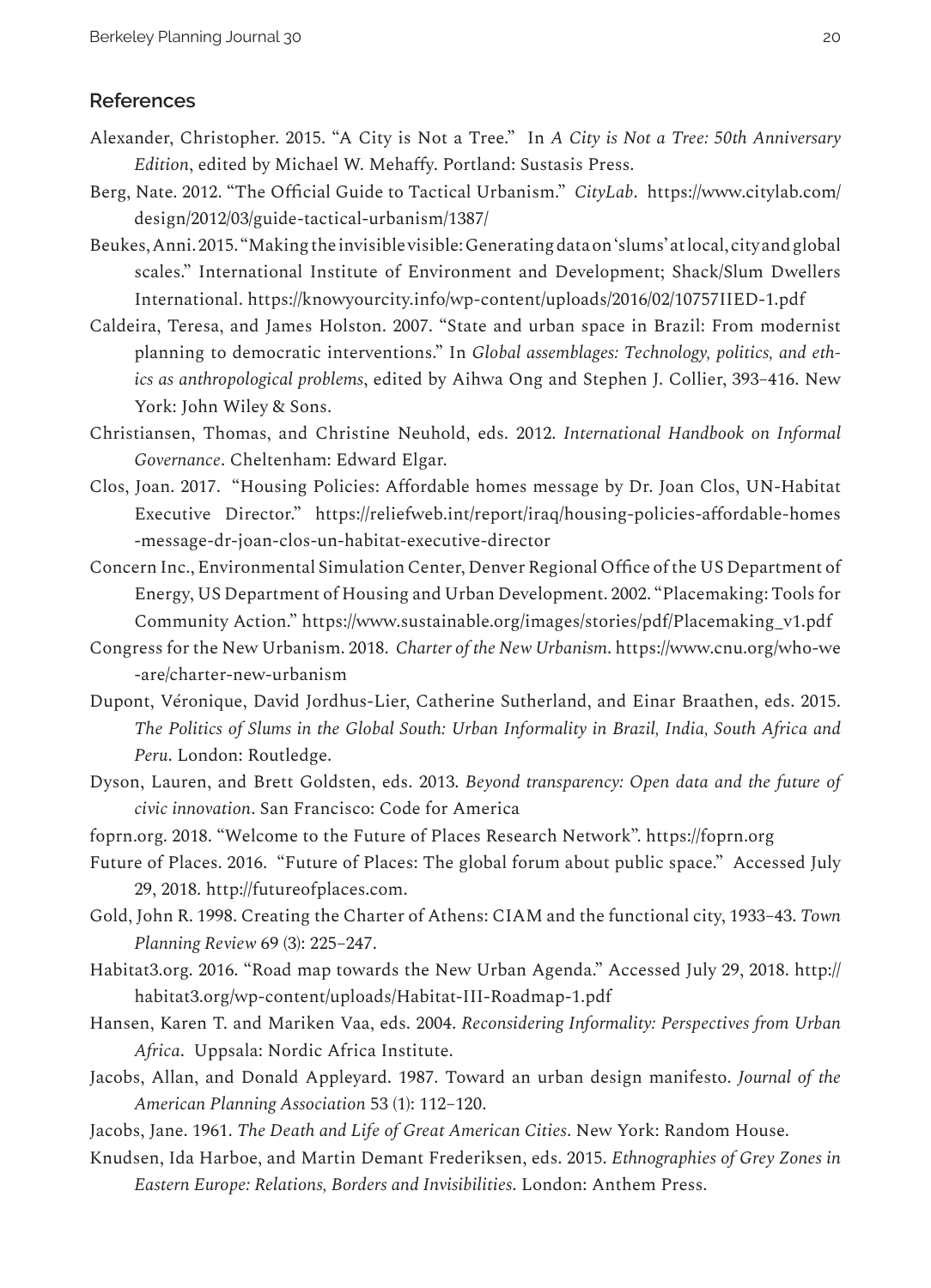# **References**

- Alexander, Christopher. 2015. "A City is Not a Tree." In *A City is Not a Tree: 50th Anniversary Edition*, edited by Michael W. Mehaffy. Portland: Sustasis Press.
- Berg, Nate. 2012. "The Official Guide to Tactical Urbanism." *CityLab*. https://www.citylab.com/ design/2012/03/guide-tactical-urbanism/1387/
- Beukes, Anni. 2015. "Making the invisible visible: Generating data on 'slums' at local, city and global scales." International Institute of Environment and Development; Shack/Slum Dwellers International. https://knowyourcity.info/wp-content/uploads/2016/02/10757IIED-1.pdf
- Caldeira, Teresa, and James Holston. 2007. "State and urban space in Brazil: From modernist planning to democratic interventions." In *Global assemblages: Technology, politics, and ethics as anthropological problems*, edited by Aihwa Ong and Stephen J. Collier, 393–416. New York: John Wiley & Sons.
- Christiansen, Thomas, and Christine Neuhold, eds. 2012. *International Handbook on Informal Governance*. Cheltenham: Edward Elgar.
- Clos, Joan. 2017. "Housing Policies: Affordable homes message by Dr. Joan Clos, UN-Habitat Executive Director." https://reliefweb.int/report/iraq/housing-policies-affordable-homes -message-dr-joan-clos-un-habitat-executive-director
- Concern Inc., Environmental Simulation Center, Denver Regional Office of the US Department of Energy, US Department of Housing and Urban Development. 2002. "Placemaking: Tools for Community Action." https://www.sustainable.org/images/stories/pdf/Placemaking\_v1.pdf
- Congress for the New Urbanism. 2018. *Charter of the New Urbanism*. https://www.cnu.org/who-we -are/charter-new-urbanism
- Dupont, Véronique, David Jordhus-Lier, Catherine Sutherland, and Einar Braathen, eds. 2015. *The Politics of Slums in the Global South: Urban Informality in Brazil, India, South Africa and Peru*. London: Routledge.
- Dyson, Lauren, and Brett Goldsten, eds. 2013. *Beyond transparency: Open data and the future of civic innovation*. San Francisco: Code for America
- foprn.org. 2018. "Welcome to the Future of Places Research Network". https://foprn.org
- Future of Places. 2016. "Future of Places: The global forum about public space." Accessed July 29, 2018. http://futureofplaces.com.
- Gold, John R. 1998. Creating the Charter of Athens: CIAM and the functional city, 1933–43. *Town Planning Review* 69 (3): 225–247.
- Habitat3.org. 2016. "Road map towards the New Urban Agenda." Accessed July 29, 2018. http:// habitat3.org/wp-content/uploads/Habitat-III-Roadmap-1.pdf
- Hansen, Karen T. and Mariken Vaa, eds. 2004. *Reconsidering Informality: Perspectives from Urban Africa*. Uppsala: Nordic Africa Institute.
- Jacobs, Allan, and Donald Appleyard. 1987. Toward an urban design manifesto. *Journal of the American Planning Association* 53 (1): 112–120.
- Jacobs, Jane. 1961. *The Death and Life of Great American Cities*. New York: Random House.
- Knudsen, Ida Harboe, and Martin Demant Frederiksen, eds. 2015. *Ethnographies of Grey Zones in Eastern Europe: Relations, Borders and Invisibilities*. London: Anthem Press.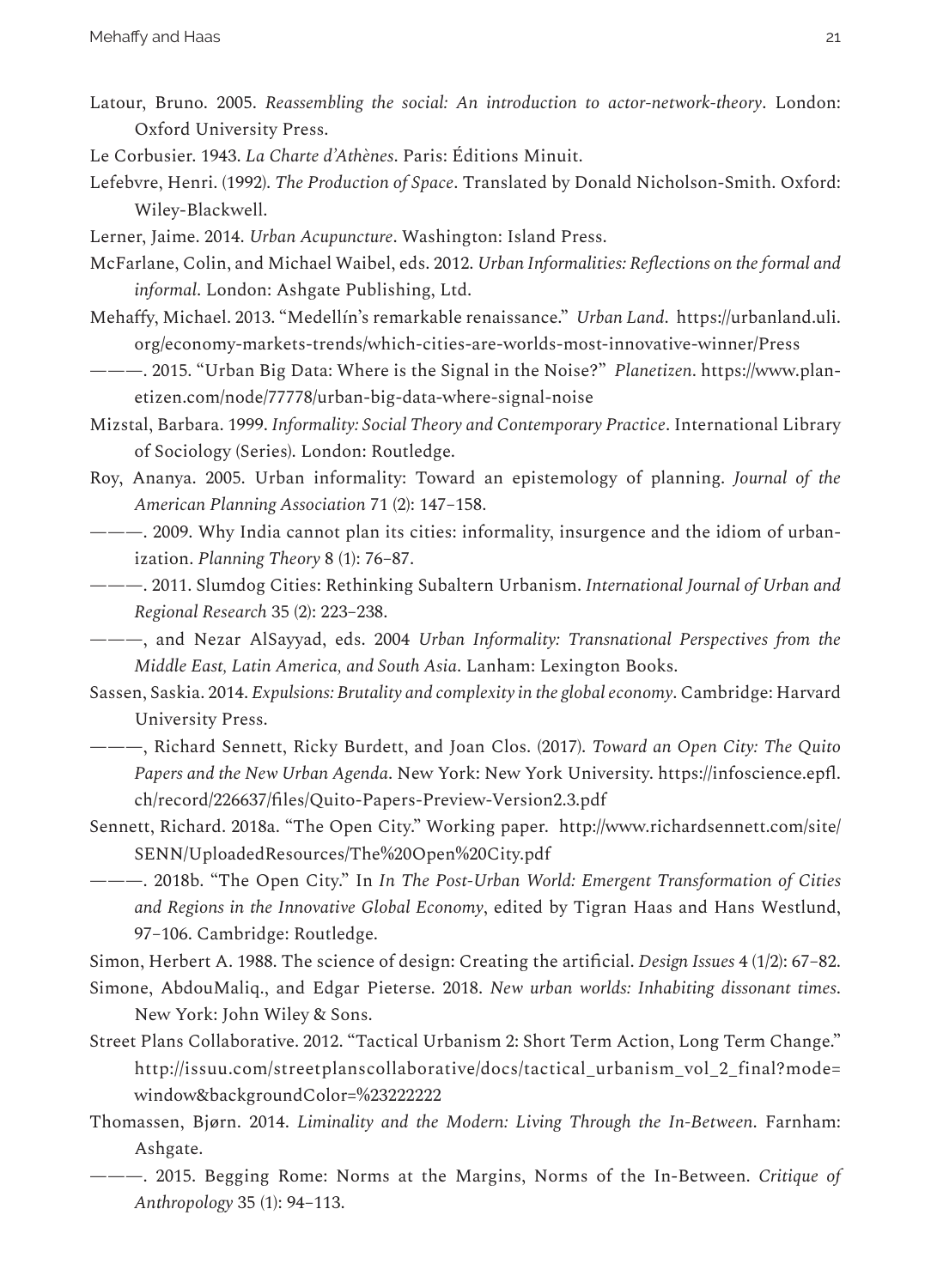- Latour, Bruno. 2005. *Reassembling the social: An introduction to actor-network-theory*. London: Oxford University Press.
- Le Corbusier. 1943. *La Charte d'Athènes*. Paris: Éditions Minuit.
- Lefebvre, Henri. (1992). *The Production of Space*. Translated by Donald Nicholson-Smith. Oxford: Wiley-Blackwell.
- Lerner, Jaime. 2014. *Urban Acupuncture*. Washington: Island Press.
- McFarlane, Colin, and Michael Waibel, eds. 2012. *Urban Informalities: Reflections on the formal and informal*. London: Ashgate Publishing, Ltd.
- Mehaffy, Michael. 2013. "Medellín's remarkable renaissance." *Urban Land*. https://urbanland.uli. org/economy-markets-trends/which-cities-are-worlds-most-innovative-winner/Press
- ———. 2015. "Urban Big Data: Where is the Signal in the Noise?" *Planetizen*. https://www.planetizen.com/node/77778/urban-big-data-where-signal-noise
- Mizstal, Barbara. 1999. *Informality: Social Theory and Contemporary Practice*. International Library of Sociology (Series). London: Routledge.
- Roy, Ananya. 2005. Urban informality: Toward an epistemology of planning. *Journal of the American Planning Association* 71 (2): 147–158.
- ———. 2009. Why India cannot plan its cities: informality, insurgence and the idiom of urbanization. *Planning Theory* 8 (1): 76–87.
- ———. 2011. Slumdog Cities: Rethinking Subaltern Urbanism. *International Journal of Urban and Regional Research* 35 (2): 223–238.
- ———, and Nezar AlSayyad, eds. 2004 *Urban Informality: Transnational Perspectives from the Middle East, Latin America, and South Asia*. Lanham: Lexington Books.
- Sassen, Saskia. 2014. *Expulsions: Brutality and complexity in the global economy*. Cambridge: Harvard University Press.
- ———, Richard Sennett, Ricky Burdett, and Joan Clos. (2017). *Toward an Open City: The Quito Papers and the New Urban Agenda*. New York: New York University. https://infoscience.epfl. ch/record/226637/files/Quito-Papers-Preview-Version2.3.pdf
- Sennett, Richard. 2018a. "The Open City." Working paper. http://www.richardsennett.com/site/ SENN/UploadedResources/The%20Open%20City.pdf
- ———. 2018b. "The Open City." In *In The Post-Urban World: Emergent Transformation of Cities and Regions in the Innovative Global Economy*, edited by Tigran Haas and Hans Westlund, 97–106. Cambridge: Routledge.
- Simon, Herbert A. 1988. The science of design: Creating the artificial. *Design Issues* 4 (1/2): 67–82.
- Simone, AbdouMaliq., and Edgar Pieterse. 2018. *New urban worlds: Inhabiting dissonant times*. New York: John Wiley & Sons.
- Street Plans Collaborative. 2012. "Tactical Urbanism 2: Short Term Action, Long Term Change." http://issuu.com/streetplanscollaborative/docs/tactical\_urbanism\_vol\_2\_final?mode= window&backgroundColor=%23222222
- Thomassen, Bjørn. 2014. *Liminality and the Modern: Living Through the In-Between*. Farnham: Ashgate.
- ———. 2015. Begging Rome: Norms at the Margins, Norms of the In-Between. *Critique of Anthropology* 35 (1): 94–113.